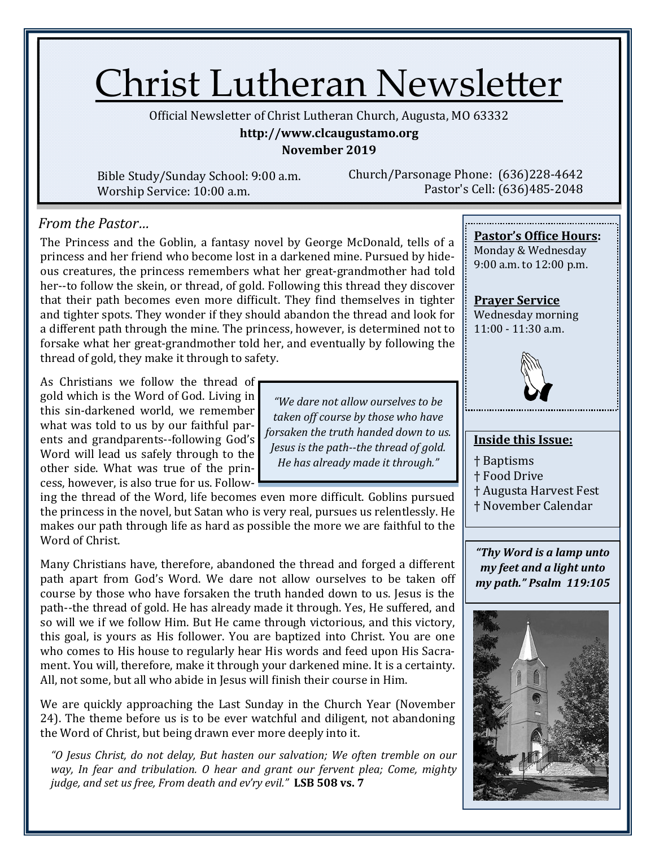# Christ Lutheran Newsletter

Official Newsletter of Christ Lutheran Church, Augusta, MO 63332

#### **http://www.clcaugustamo.org**

**November 2019**

*"We dare not allow ourselves to be taken off course by those who have forsaken the truth handed down to us. Jesus is the path--the thread of gold. He has already made it through."*

Bible Study/Sunday School: 9:00 a.m. Worship Service: 10:00 a.m.

Church/Parsonage Phone: (636)228-4642 Pastor's Cell: (636)485-2048

### *From the Pastor…*

The Princess and the Goblin, a fantasy novel by George McDonald, tells of a princess and her friend who become lost in a darkened mine. Pursued by hideous creatures, the princess remembers what her great-grandmother had told her--to follow the skein, or thread, of gold. Following this thread they discover that their path becomes even more difficult. They find themselves in tighter and tighter spots. They wonder if they should abandon the thread and look for a different path through the mine. The princess, however, is determined not to forsake what her great-grandmother told her, and eventually by following the thread of gold, they make it through to safety.

As Christians we follow the thread of gold which is the Word of God. Living in this sin-darkened world, we remember what was told to us by our faithful parents and grandparents--following God's Word will lead us safely through to the other side. What was true of the princess, however, is also true for us. Follow-

ing the thread of the Word, life becomes even more difficult. Goblins pursued the princess in the novel, but Satan who is very real, pursues us relentlessly. He makes our path through life as hard as possible the more we are faithful to the Word of Christ.

Many Christians have, therefore, abandoned the thread and forged a different path apart from God's Word. We dare not allow ourselves to be taken off course by those who have forsaken the truth handed down to us. Jesus is the path--the thread of gold. He has already made it through. Yes, He suffered, and so will we if we follow Him. But He came through victorious, and this victory, this goal, is yours as His follower. You are baptized into Christ. You are one who comes to His house to regularly hear His words and feed upon His Sacrament. You will, therefore, make it through your darkened mine. It is a certainty. All, not some, but all who abide in Jesus will finish their course in Him.

We are quickly approaching the Last Sunday in the Church Year (November 24). The theme before us is to be ever watchful and diligent, not abandoning the Word of Christ, but being drawn ever more deeply into it.

*"O Jesus Christ, do not delay, But hasten our salvation; We often tremble on our way, In fear and tribulation. O hear and grant our fervent plea; Come, mighty judge, and set us free, From death and ev'ry evil."* **LSB 508 vs. 7**

#### **Pastor's Office Hours:**

Monday & Wednesday 9:00 a.m. to 12:00 p.m.

**Prayer Service** Wednesday morning 11:00 - 11:30 a.m.



#### **Inside this Issue:**

- † Baptisms † Food Drive
- † Augusta Harvest Fest
- † November Calendar

*"Thy Word is a lamp unto my feet and a light unto my path." Psalm 119:105*